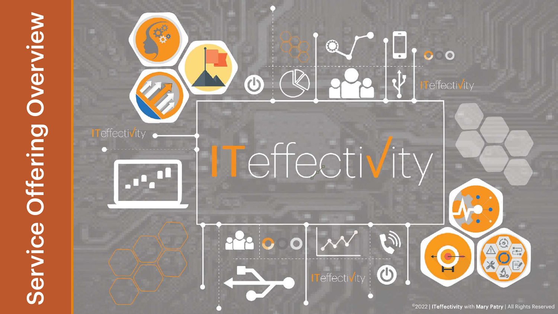# Service Offering Overview

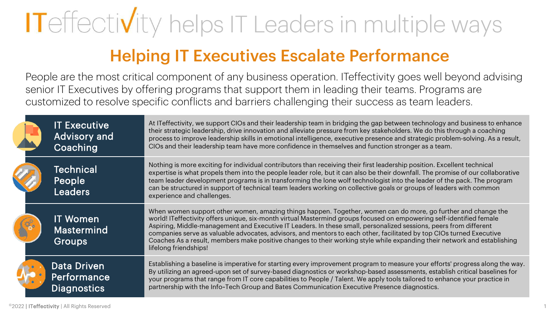# IT effectivity helps IT Leaders in multiple ways

## Helping IT Executives Escalate Performance

People are the most critical component of any business operation. ITeffectivity goes well beyond advising senior IT Executives by offering programs that support them in leading their teams. Programs are customized to resolve specific conflicts and barriers challenging their success as team leaders.

| <b>IT Executive</b><br><b>Advisory and</b><br>Coaching | At ITeffectivity, we support CIOs and their leadership team in bridging the gap between technology and business to enhance<br>their strategic leadership, drive innovation and alleviate pressure from key stakeholders. We do this through a coaching<br>process to improve leadership skills in emotional intelligence, executive presence and strategic problem-solving. As a result,<br>CIOs and their leadership team have more confidence in themselves and function stronger as a team.                                                                                                                                           |
|--------------------------------------------------------|------------------------------------------------------------------------------------------------------------------------------------------------------------------------------------------------------------------------------------------------------------------------------------------------------------------------------------------------------------------------------------------------------------------------------------------------------------------------------------------------------------------------------------------------------------------------------------------------------------------------------------------|
| <b>Technical</b><br>People<br><b>Leaders</b>           | Nothing is more exciting for individual contributors than receiving their first leadership position. Excellent technical<br>expertise is what propels them into the people leader role, but it can also be their downfall. The promise of our collaborative<br>team leader development programs is in transforming the lone wolf technologist into the leader of the pack. The program<br>can be structured in support of technical team leaders working on collective goals or groups of leaders with common<br>experience and challenges.                                                                                              |
| <b>IT Women</b><br><b>Mastermind</b><br><b>Groups</b>  | When women support other women, amazing things happen. Together, women can do more, go further and change the<br>world! IT effectivity offers unique, six-month virtual Mastermind groups focused on empowering self-identified female<br>Aspiring, Middle-management and Executive IT Leaders. In these small, personalized sessions, peers from different<br>companies serve as valuable advocates, advisors, and mentors to each other, facilitated by top CIOs turned Executive<br>Coaches As a result, members make positive changes to their working style while expanding their network and establishing<br>lifelong friendships! |
| <b>Data Driven</b><br>Performance<br>Diagnostics       | Establishing a baseline is imperative for starting every improvement program to measure your efforts' progress along the way.<br>By utilizing an agreed-upon set of survey-based diagnostics or workshop-based assessments, establish critical baselines for<br>your programs that range from IT core capabilities to People / Talent. We apply tools tailored to enhance your practice in<br>partnership with the Info~Tech Group and Bates Communication Executive Presence diagnostics.                                                                                                                                               |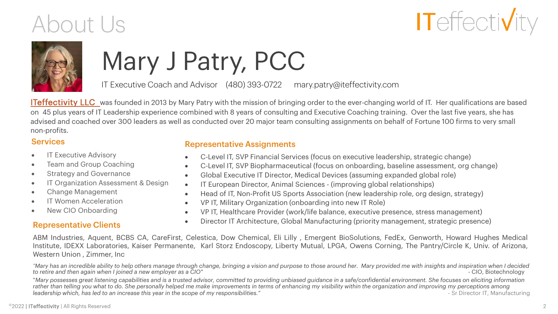# About Us





# Mary J Patry, PCC

IT Executive Coach and Advisor (480) 393-0722 mary.patry@iteffectivity.com

**[ITeffectivity LLC](https://www.iteffectivity.com/)** was founded in 2013 by Mary Patry with the mission of bringing order to the ever-changing world of IT. Her qualifications are based on 45 plus years of IT Leadership experience combined with 8 years of consulting and Executive Coaching training. Over the last five years, she has advised and coached over 300 leaders as well as conducted over 20 major team consulting assignments on behalf of Fortune 100 firms to very small non-profits.

### **Services**

- IT Executive Advisory
- Team and Group Coaching
- Strategy and Governance
- IT Organization Assessment & Design
- Change Management
- IT Women Acceleration
- New CIO Onboarding

### Representative Clients

### Representative Assignments

- C-Level IT, SVP Financial Services (focus on executive leadership, strategic change)
- C-Level IT, SVP Biopharmaceutical (focus on onboarding, baseline assessment, org change)
- Global Executive IT Director, Medical Devices (assuming expanded global role)
- IT European Director, Animal Sciences (improving global relationships)
- Head of IT, Non-Profit US Sports Association (new leadership role, org design, strategy)
- VP IT, Military Organization (onboarding into new IT Role)
- VP IT, Healthcare Provider (work/life balance, executive presence, stress management)
- Director IT Architecture, Global Manufacturing (priority management, strategic presence)

ABM Industries, Aquent, BCBS CA, CareFirst, Celestica, Dow Chemical, Eli Lilly , Emergent BioSolutions, FedEx, Genworth, Howard Hughes Medical Institute, IDEXX Laboratories, Kaiser Permanente, Karl Storz Endoscopy, Liberty Mutual, LPGA, Owens Corning, The Pantry/Circle K, Univ. of Arizona, Western Union , Zimmer, Inc

Mary has an incredible ability to help others manage through change, bringing a vision and purpose to those around her. Mary provided me with insights and inspiration when I decided رertire and then again when I joined a n to retire and then again when I joined a new employer as a CIO"

"*Mary possesses great listening capabilities and is a trusted advisor, committed to providing unbiased guidance in a safe/confidential environment. She focuses on eliciting information*  rather than telling you what to do. She personally helped me make improvements in terms of enhancing my visibility within the organization and improving my perceptions among *leadership which, has led to an increase this year in the scope of my responsibilities."* exercise that the scope of my responsibilities."